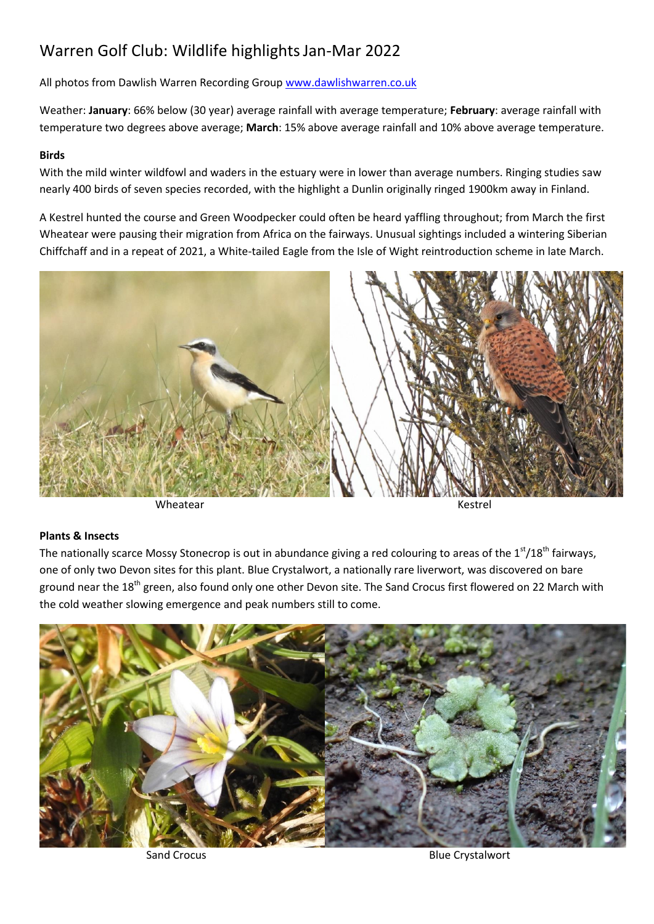## Warren Golf Club: Wildlife highlightsJan-Mar 2022

All photos from Dawlish Warren Recording Group [www.dawlishwarren.co.uk](http://www.dawlishwarren.co.uk/)

Weather: **January**: 66% below (30 year) average rainfall with average temperature; **February**: average rainfall with temperature two degrees above average; **March**: 15% above average rainfall and 10% above average temperature.

## **Birds**

With the mild winter wildfowl and waders in the estuary were in lower than average numbers. Ringing studies saw nearly 400 birds of seven species recorded, with the highlight a Dunlin originally ringed 1900km away in Finland.

A Kestrel hunted the course and Green Woodpecker could often be heard yaffling throughout; from March the first Wheatear were pausing their migration from Africa on the fairways. Unusual sightings included a wintering Siberian Chiffchaff and in a repeat of 2021, a White-tailed Eagle from the Isle of Wight reintroduction scheme in late March.



Wheatear **Kestrel** 

## **Plants & Insects**

The nationally scarce Mossy Stonecrop is out in abundance giving a red colouring to areas of the  $1<sup>st</sup>/18<sup>th</sup>$  fairways, one of only two Devon sites for this plant. Blue Crystalwort, a nationally rare liverwort, was discovered on bare ground near the 18<sup>th</sup> green, also found only one other Devon site. The Sand Crocus first flowered on 22 March with the cold weather slowing emergence and peak numbers still to come.



Sand Crocus **Blue Crystalwort** Blue Crystalwort